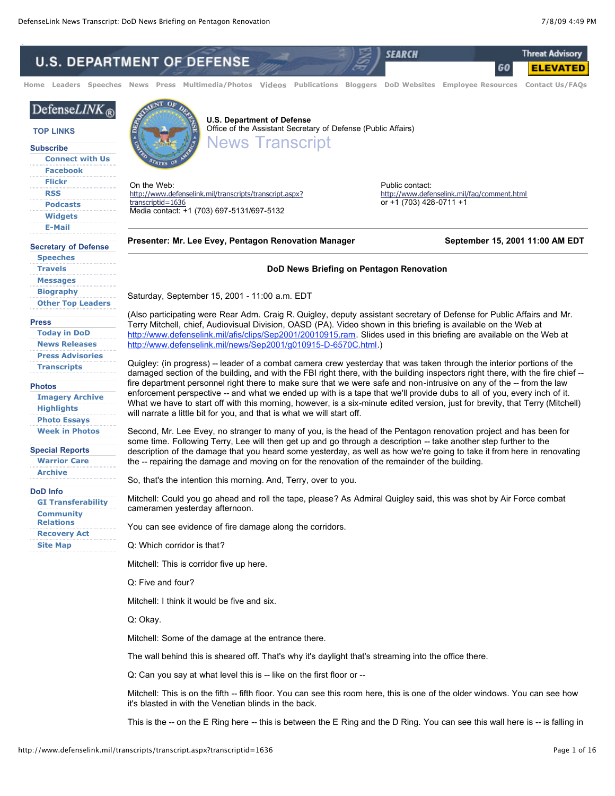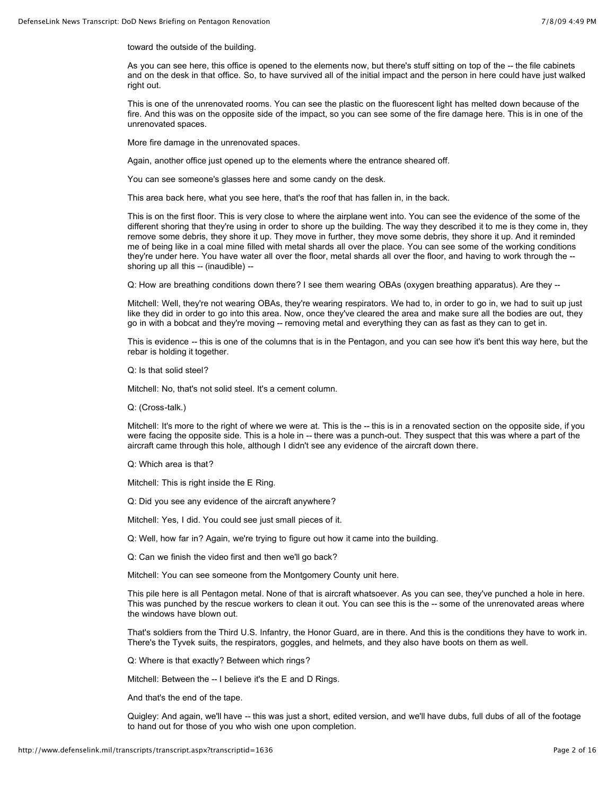toward the outside of the building.

As you can see here, this office is opened to the elements now, but there's stuff sitting on top of the -- the file cabinets and on the desk in that office. So, to have survived all of the initial impact and the person in here could have just walked right out.

This is one of the unrenovated rooms. You can see the plastic on the fluorescent light has melted down because of the fire. And this was on the opposite side of the impact, so you can see some of the fire damage here. This is in one of the unrenovated spaces.

More fire damage in the unrenovated spaces.

Again, another office just opened up to the elements where the entrance sheared off.

You can see someone's glasses here and some candy on the desk.

This area back here, what you see here, that's the roof that has fallen in, in the back.

This is on the first floor. This is very close to where the airplane went into. You can see the evidence of the some of the different shoring that they're using in order to shore up the building. The way they described it to me is they come in, they remove some debris, they shore it up. They move in further, they move some debris, they shore it up. And it reminded me of being like in a coal mine filled with metal shards all over the place. You can see some of the working conditions they're under here. You have water all over the floor, metal shards all over the floor, and having to work through the - shoring up all this -- (inaudible) --

Q: How are breathing conditions down there? I see them wearing OBAs (oxygen breathing apparatus). Are they --

Mitchell: Well, they're not wearing OBAs, they're wearing respirators. We had to, in order to go in, we had to suit up just like they did in order to go into this area. Now, once they've cleared the area and make sure all the bodies are out, they go in with a bobcat and they're moving -- removing metal and everything they can as fast as they can to get in.

This is evidence -- this is one of the columns that is in the Pentagon, and you can see how it's bent this way here, but the rebar is holding it together.

Q: Is that solid steel?

Mitchell: No, that's not solid steel. It's a cement column.

Q: (Cross-talk.)

Mitchell: It's more to the right of where we were at. This is the -- this is in a renovated section on the opposite side, if you were facing the opposite side. This is a hole in -- there was a punch-out. They suspect that this was where a part of the aircraft came through this hole, although I didn't see any evidence of the aircraft down there.

Q: Which area is that?

Mitchell: This is right inside the E Ring.

Q: Did you see any evidence of the aircraft anywhere?

Mitchell: Yes, I did. You could see just small pieces of it.

Q: Well, how far in? Again, we're trying to figure out how it came into the building.

Q: Can we finish the video first and then we'll go back?

Mitchell: You can see someone from the Montgomery County unit here.

This pile here is all Pentagon metal. None of that is aircraft whatsoever. As you can see, they've punched a hole in here. This was punched by the rescue workers to clean it out. You can see this is the -- some of the unrenovated areas where the windows have blown out.

That's soldiers from the Third U.S. Infantry, the Honor Guard, are in there. And this is the conditions they have to work in. There's the Tyvek suits, the respirators, goggles, and helmets, and they also have boots on them as well.

Q: Where is that exactly? Between which rings?

Mitchell: Between the -- I believe it's the E and D Rings.

And that's the end of the tape.

Quigley: And again, we'll have -- this was just a short, edited version, and we'll have dubs, full dubs of all of the footage to hand out for those of you who wish one upon completion.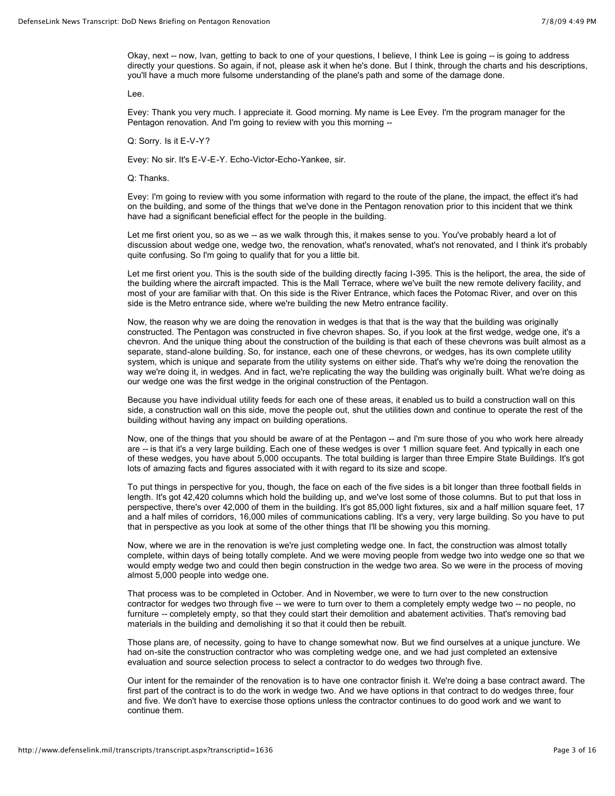Okay, next -- now, Ivan, getting to back to one of your questions, I believe, I think Lee is going -- is going to address directly your questions. So again, if not, please ask it when he's done. But I think, through the charts and his descriptions, you'll have a much more fulsome understanding of the plane's path and some of the damage done.

Lee.

Evey: Thank you very much. I appreciate it. Good morning. My name is Lee Evey. I'm the program manager for the Pentagon renovation. And I'm going to review with you this morning --

Q: Sorry. Is it E-V-Y?

Evey: No sir. It's E-V-E-Y. Echo-Victor-Echo-Yankee, sir.

Q: Thanks.

Evey: I'm going to review with you some information with regard to the route of the plane, the impact, the effect it's had on the building, and some of the things that we've done in the Pentagon renovation prior to this incident that we think have had a significant beneficial effect for the people in the building.

Let me first orient you, so as we -- as we walk through this, it makes sense to you. You've probably heard a lot of discussion about wedge one, wedge two, the renovation, what's renovated, what's not renovated, and I think it's probably quite confusing. So I'm going to qualify that for you a little bit.

Let me first orient you. This is the south side of the building directly facing I-395. This is the heliport, the area, the side of the building where the aircraft impacted. This is the Mall Terrace, where we've built the new remote delivery facility, and most of your are familiar with that. On this side is the River Entrance, which faces the Potomac River, and over on this side is the Metro entrance side, where we're building the new Metro entrance facility.

Now, the reason why we are doing the renovation in wedges is that that is the way that the building was originally constructed. The Pentagon was constructed in five chevron shapes. So, if you look at the first wedge, wedge one, it's a chevron. And the unique thing about the construction of the building is that each of these chevrons was built almost as a separate, stand-alone building. So, for instance, each one of these chevrons, or wedges, has its own complete utility system, which is unique and separate from the utility systems on either side. That's why we're doing the renovation the way we're doing it, in wedges. And in fact, we're replicating the way the building was originally built. What we're doing as our wedge one was the first wedge in the original construction of the Pentagon.

Because you have individual utility feeds for each one of these areas, it enabled us to build a construction wall on this side, a construction wall on this side, move the people out, shut the utilities down and continue to operate the rest of the building without having any impact on building operations.

Now, one of the things that you should be aware of at the Pentagon -- and I'm sure those of you who work here already are -- is that it's a very large building. Each one of these wedges is over 1 million square feet. And typically in each one of these wedges, you have about 5,000 occupants. The total building is larger than three Empire State Buildings. It's got lots of amazing facts and figures associated with it with regard to its size and scope.

To put things in perspective for you, though, the face on each of the five sides is a bit longer than three football fields in length. It's got 42,420 columns which hold the building up, and we've lost some of those columns. But to put that loss in perspective, there's over 42,000 of them in the building. It's got 85,000 light fixtures, six and a half million square feet, 17 and a half miles of corridors, 16,000 miles of communications cabling. It's a very, very large building. So you have to put that in perspective as you look at some of the other things that I'll be showing you this morning.

Now, where we are in the renovation is we're just completing wedge one. In fact, the construction was almost totally complete, within days of being totally complete. And we were moving people from wedge two into wedge one so that we would empty wedge two and could then begin construction in the wedge two area. So we were in the process of moving almost 5,000 people into wedge one.

That process was to be completed in October. And in November, we were to turn over to the new construction contractor for wedges two through five -- we were to turn over to them a completely empty wedge two -- no people, no furniture -- completely empty, so that they could start their demolition and abatement activities. That's removing bad materials in the building and demolishing it so that it could then be rebuilt.

Those plans are, of necessity, going to have to change somewhat now. But we find ourselves at a unique juncture. We had on-site the construction contractor who was completing wedge one, and we had just completed an extensive evaluation and source selection process to select a contractor to do wedges two through five.

Our intent for the remainder of the renovation is to have one contractor finish it. We're doing a base contract award. The first part of the contract is to do the work in wedge two. And we have options in that contract to do wedges three, four and five. We don't have to exercise those options unless the contractor continues to do good work and we want to continue them.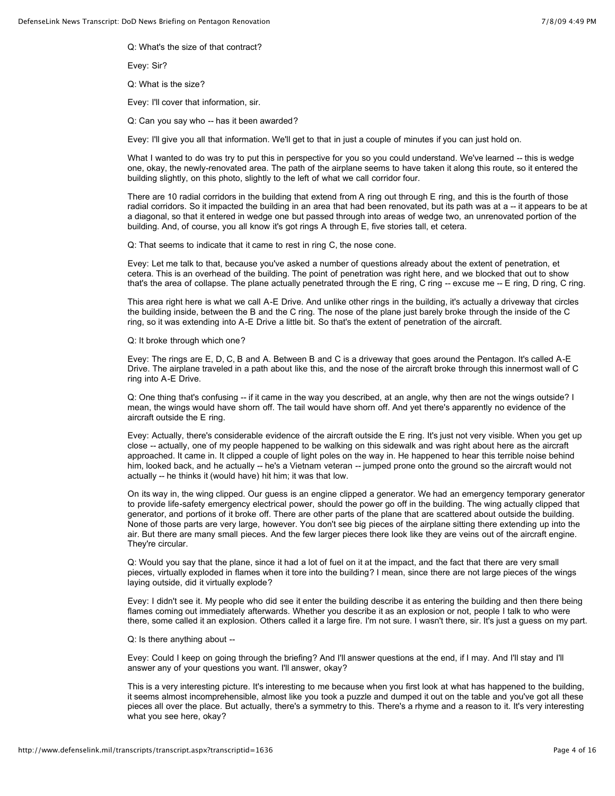Q: What's the size of that contract?

Evey: Sir?

Q: What is the size?

Evey: I'll cover that information, sir.

Q: Can you say who -- has it been awarded?

Evey: I'll give you all that information. We'll get to that in just a couple of minutes if you can just hold on.

What I wanted to do was try to put this in perspective for you so you could understand. We've learned -- this is wedge one, okay, the newly-renovated area. The path of the airplane seems to have taken it along this route, so it entered the building slightly, on this photo, slightly to the left of what we call corridor four.

There are 10 radial corridors in the building that extend from A ring out through E ring, and this is the fourth of those radial corridors. So it impacted the building in an area that had been renovated, but its path was at a -- it appears to be at a diagonal, so that it entered in wedge one but passed through into areas of wedge two, an unrenovated portion of the building. And, of course, you all know it's got rings A through E, five stories tall, et cetera.

Q: That seems to indicate that it came to rest in ring C, the nose cone.

Evey: Let me talk to that, because you've asked a number of questions already about the extent of penetration, et cetera. This is an overhead of the building. The point of penetration was right here, and we blocked that out to show that's the area of collapse. The plane actually penetrated through the E ring, C ring -- excuse me -- E ring, D ring, C ring.

This area right here is what we call A-E Drive. And unlike other rings in the building, it's actually a driveway that circles the building inside, between the B and the C ring. The nose of the plane just barely broke through the inside of the C ring, so it was extending into A-E Drive a little bit. So that's the extent of penetration of the aircraft.

Q: It broke through which one?

Evey: The rings are E, D, C, B and A. Between B and C is a driveway that goes around the Pentagon. It's called A-E Drive. The airplane traveled in a path about like this, and the nose of the aircraft broke through this innermost wall of C ring into A-E Drive.

Q: One thing that's confusing -- if it came in the way you described, at an angle, why then are not the wings outside? I mean, the wings would have shorn off. The tail would have shorn off. And yet there's apparently no evidence of the aircraft outside the E ring.

Evey: Actually, there's considerable evidence of the aircraft outside the E ring. It's just not very visible. When you get up close -- actually, one of my people happened to be walking on this sidewalk and was right about here as the aircraft approached. It came in. It clipped a couple of light poles on the way in. He happened to hear this terrible noise behind him, looked back, and he actually -- he's a Vietnam veteran -- jumped prone onto the ground so the aircraft would not actually -- he thinks it (would have) hit him; it was that low.

On its way in, the wing clipped. Our guess is an engine clipped a generator. We had an emergency temporary generator to provide life-safety emergency electrical power, should the power go off in the building. The wing actually clipped that generator, and portions of it broke off. There are other parts of the plane that are scattered about outside the building. None of those parts are very large, however. You don't see big pieces of the airplane sitting there extending up into the air. But there are many small pieces. And the few larger pieces there look like they are veins out of the aircraft engine. They're circular.

Q: Would you say that the plane, since it had a lot of fuel on it at the impact, and the fact that there are very small pieces, virtually exploded in flames when it tore into the building? I mean, since there are not large pieces of the wings laying outside, did it virtually explode?

Evey: I didn't see it. My people who did see it enter the building describe it as entering the building and then there being flames coming out immediately afterwards. Whether you describe it as an explosion or not, people I talk to who were there, some called it an explosion. Others called it a large fire. I'm not sure. I wasn't there, sir. It's just a guess on my part.

Q: Is there anything about --

Evey: Could I keep on going through the briefing? And I'll answer questions at the end, if I may. And I'll stay and I'll answer any of your questions you want. I'll answer, okay?

This is a very interesting picture. It's interesting to me because when you first look at what has happened to the building, it seems almost incomprehensible, almost like you took a puzzle and dumped it out on the table and you've got all these pieces all over the place. But actually, there's a symmetry to this. There's a rhyme and a reason to it. It's very interesting what you see here, okay?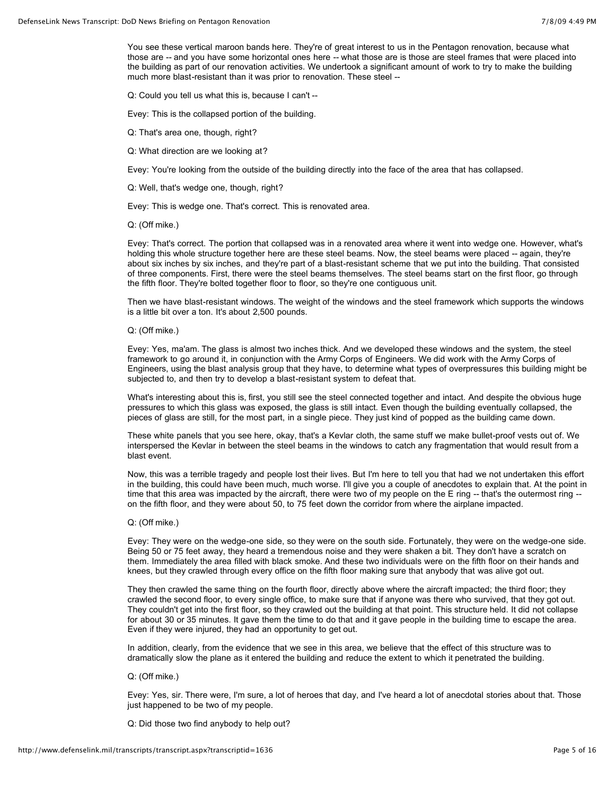You see these vertical maroon bands here. They're of great interest to us in the Pentagon renovation, because what those are -- and you have some horizontal ones here -- what those are is those are steel frames that were placed into the building as part of our renovation activities. We undertook a significant amount of work to try to make the building much more blast-resistant than it was prior to renovation. These steel --

Q: Could you tell us what this is, because I can't --

Evey: This is the collapsed portion of the building.

- Q: That's area one, though, right?
- Q: What direction are we looking at?

Evey: You're looking from the outside of the building directly into the face of the area that has collapsed.

Q: Well, that's wedge one, though, right?

Evey: This is wedge one. That's correct. This is renovated area.

Q: (Off mike.)

Evey: That's correct. The portion that collapsed was in a renovated area where it went into wedge one. However, what's holding this whole structure together here are these steel beams. Now, the steel beams were placed -- again, they're about six inches by six inches, and they're part of a blast-resistant scheme that we put into the building. That consisted of three components. First, there were the steel beams themselves. The steel beams start on the first floor, go through the fifth floor. They're bolted together floor to floor, so they're one contiguous unit.

Then we have blast-resistant windows. The weight of the windows and the steel framework which supports the windows is a little bit over a ton. It's about 2,500 pounds.

## Q: (Off mike.)

Evey: Yes, ma'am. The glass is almost two inches thick. And we developed these windows and the system, the steel framework to go around it, in conjunction with the Army Corps of Engineers. We did work with the Army Corps of Engineers, using the blast analysis group that they have, to determine what types of overpressures this building might be subjected to, and then try to develop a blast-resistant system to defeat that.

What's interesting about this is, first, you still see the steel connected together and intact. And despite the obvious huge pressures to which this glass was exposed, the glass is still intact. Even though the building eventually collapsed, the pieces of glass are still, for the most part, in a single piece. They just kind of popped as the building came down.

These white panels that you see here, okay, that's a Kevlar cloth, the same stuff we make bullet-proof vests out of. We interspersed the Kevlar in between the steel beams in the windows to catch any fragmentation that would result from a blast event.

Now, this was a terrible tragedy and people lost their lives. But I'm here to tell you that had we not undertaken this effort in the building, this could have been much, much worse. I'll give you a couple of anecdotes to explain that. At the point in time that this area was impacted by the aircraft, there were two of my people on the E ring -- that's the outermost ring -on the fifth floor, and they were about 50, to 75 feet down the corridor from where the airplane impacted.

## Q: (Off mike.)

Evey: They were on the wedge-one side, so they were on the south side. Fortunately, they were on the wedge-one side. Being 50 or 75 feet away, they heard a tremendous noise and they were shaken a bit. They don't have a scratch on them. Immediately the area filled with black smoke. And these two individuals were on the fifth floor on their hands and knees, but they crawled through every office on the fifth floor making sure that anybody that was alive got out.

They then crawled the same thing on the fourth floor, directly above where the aircraft impacted; the third floor; they crawled the second floor, to every single office, to make sure that if anyone was there who survived, that they got out. They couldn't get into the first floor, so they crawled out the building at that point. This structure held. It did not collapse for about 30 or 35 minutes. It gave them the time to do that and it gave people in the building time to escape the area. Even if they were injured, they had an opportunity to get out.

In addition, clearly, from the evidence that we see in this area, we believe that the effect of this structure was to dramatically slow the plane as it entered the building and reduce the extent to which it penetrated the building.

Q: (Off mike.)

Evey: Yes, sir. There were, I'm sure, a lot of heroes that day, and I've heard a lot of anecdotal stories about that. Those just happened to be two of my people.

Q: Did those two find anybody to help out?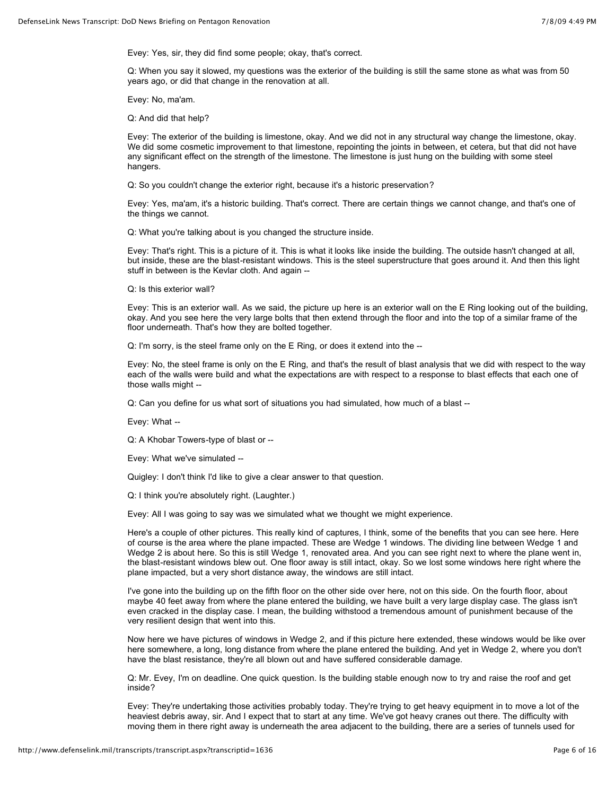Evey: Yes, sir, they did find some people; okay, that's correct.

Q: When you say it slowed, my questions was the exterior of the building is still the same stone as what was from 50 years ago, or did that change in the renovation at all.

Evey: No, ma'am.

Q: And did that help?

Evey: The exterior of the building is limestone, okay. And we did not in any structural way change the limestone, okay. We did some cosmetic improvement to that limestone, repointing the joints in between, et cetera, but that did not have any significant effect on the strength of the limestone. The limestone is just hung on the building with some steel hangers.

Q: So you couldn't change the exterior right, because it's a historic preservation?

Evey: Yes, ma'am, it's a historic building. That's correct. There are certain things we cannot change, and that's one of the things we cannot.

Q: What you're talking about is you changed the structure inside.

Evey: That's right. This is a picture of it. This is what it looks like inside the building. The outside hasn't changed at all, but inside, these are the blast-resistant windows. This is the steel superstructure that goes around it. And then this light stuff in between is the Kevlar cloth. And again --

Q: Is this exterior wall?

Evey: This is an exterior wall. As we said, the picture up here is an exterior wall on the E Ring looking out of the building, okay. And you see here the very large bolts that then extend through the floor and into the top of a similar frame of the floor underneath. That's how they are bolted together.

Q: I'm sorry, is the steel frame only on the E Ring, or does it extend into the --

Evey: No, the steel frame is only on the E Ring, and that's the result of blast analysis that we did with respect to the way each of the walls were build and what the expectations are with respect to a response to blast effects that each one of those walls might --

Q: Can you define for us what sort of situations you had simulated, how much of a blast --

Evey: What --

Q: A Khobar Towers-type of blast or --

Evey: What we've simulated --

Quigley: I don't think I'd like to give a clear answer to that question.

Q: I think you're absolutely right. (Laughter.)

Evey: All I was going to say was we simulated what we thought we might experience.

Here's a couple of other pictures. This really kind of captures, I think, some of the benefits that you can see here. Here of course is the area where the plane impacted. These are Wedge 1 windows. The dividing line between Wedge 1 and Wedge 2 is about here. So this is still Wedge 1, renovated area. And you can see right next to where the plane went in, the blast-resistant windows blew out. One floor away is still intact, okay. So we lost some windows here right where the plane impacted, but a very short distance away, the windows are still intact.

I've gone into the building up on the fifth floor on the other side over here, not on this side. On the fourth floor, about maybe 40 feet away from where the plane entered the building, we have built a very large display case. The glass isn't even cracked in the display case. I mean, the building withstood a tremendous amount of punishment because of the very resilient design that went into this.

Now here we have pictures of windows in Wedge 2, and if this picture here extended, these windows would be like over here somewhere, a long, long distance from where the plane entered the building. And yet in Wedge 2, where you don't have the blast resistance, they're all blown out and have suffered considerable damage.

Q: Mr. Evey, I'm on deadline. One quick question. Is the building stable enough now to try and raise the roof and get inside?

Evey: They're undertaking those activities probably today. They're trying to get heavy equipment in to move a lot of the heaviest debris away, sir. And I expect that to start at any time. We've got heavy cranes out there. The difficulty with moving them in there right away is underneath the area adjacent to the building, there are a series of tunnels used for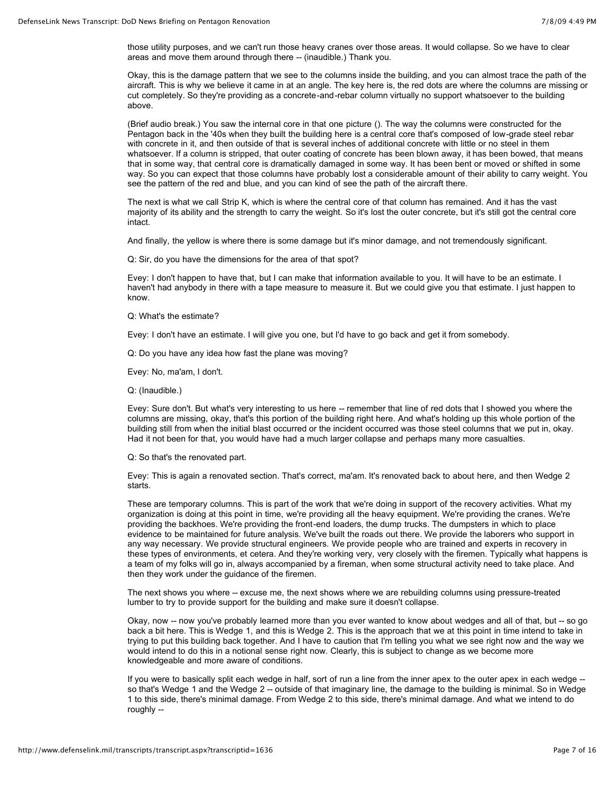those utility purposes, and we can't run those heavy cranes over those areas. It would collapse. So we have to clear areas and move them around through there -- (inaudible.) Thank you.

Okay, this is the damage pattern that we see to the columns inside the building, and you can almost trace the path of the aircraft. This is why we believe it came in at an angle. The key here is, the red dots are where the columns are missing or cut completely. So they're providing as a concrete-and-rebar column virtually no support whatsoever to the building above.

(Brief audio break.) You saw the internal core in that one picture (). The way the columns were constructed for the Pentagon back in the '40s when they built the building here is a central core that's composed of low-grade steel rebar with concrete in it, and then outside of that is several inches of additional concrete with little or no steel in them whatsoever. If a column is stripped, that outer coating of concrete has been blown away, it has been bowed, that means that in some way, that central core is dramatically damaged in some way. It has been bent or moved or shifted in some way. So you can expect that those columns have probably lost a considerable amount of their ability to carry weight. You see the pattern of the red and blue, and you can kind of see the path of the aircraft there.

The next is what we call Strip K, which is where the central core of that column has remained. And it has the vast majority of its ability and the strength to carry the weight. So it's lost the outer concrete, but it's still got the central core intact.

And finally, the yellow is where there is some damage but it's minor damage, and not tremendously significant.

Q: Sir, do you have the dimensions for the area of that spot?

Evey: I don't happen to have that, but I can make that information available to you. It will have to be an estimate. I haven't had anybody in there with a tape measure to measure it. But we could give you that estimate. I just happen to know.

Q: What's the estimate?

Evey: I don't have an estimate. I will give you one, but I'd have to go back and get it from somebody.

Q: Do you have any idea how fast the plane was moving?

Evey: No, ma'am, I don't.

Q: (Inaudible.)

Evey: Sure don't. But what's very interesting to us here -- remember that line of red dots that I showed you where the columns are missing, okay, that's this portion of the building right here. And what's holding up this whole portion of the building still from when the initial blast occurred or the incident occurred was those steel columns that we put in, okay. Had it not been for that, you would have had a much larger collapse and perhaps many more casualties.

Q: So that's the renovated part.

Evey: This is again a renovated section. That's correct, ma'am. It's renovated back to about here, and then Wedge 2 starts.

These are temporary columns. This is part of the work that we're doing in support of the recovery activities. What my organization is doing at this point in time, we're providing all the heavy equipment. We're providing the cranes. We're providing the backhoes. We're providing the front-end loaders, the dump trucks. The dumpsters in which to place evidence to be maintained for future analysis. We've built the roads out there. We provide the laborers who support in any way necessary. We provide structural engineers. We provide people who are trained and experts in recovery in these types of environments, et cetera. And they're working very, very closely with the firemen. Typically what happens is a team of my folks will go in, always accompanied by a fireman, when some structural activity need to take place. And then they work under the guidance of the firemen.

The next shows you where -- excuse me, the next shows where we are rebuilding columns using pressure-treated lumber to try to provide support for the building and make sure it doesn't collapse.

Okay, now -- now you've probably learned more than you ever wanted to know about wedges and all of that, but -- so go back a bit here. This is Wedge 1, and this is Wedge 2. This is the approach that we at this point in time intend to take in trying to put this building back together. And I have to caution that I'm telling you what we see right now and the way we would intend to do this in a notional sense right now. Clearly, this is subject to change as we become more knowledgeable and more aware of conditions.

If you were to basically split each wedge in half, sort of run a line from the inner apex to the outer apex in each wedge - so that's Wedge 1 and the Wedge 2 -- outside of that imaginary line, the damage to the building is minimal. So in Wedge 1 to this side, there's minimal damage. From Wedge 2 to this side, there's minimal damage. And what we intend to do roughly --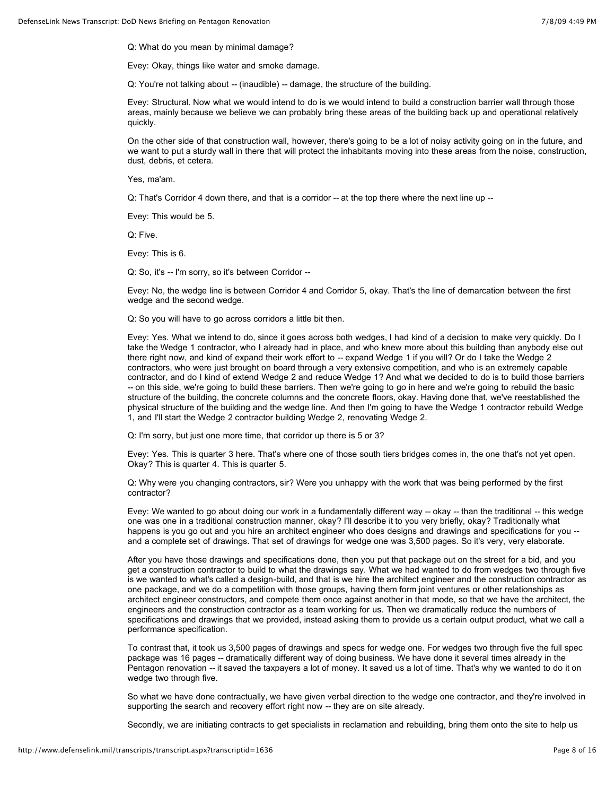Q: What do you mean by minimal damage?

Evey: Okay, things like water and smoke damage.

Q: You're not talking about -- (inaudible) -- damage, the structure of the building.

Evey: Structural. Now what we would intend to do is we would intend to build a construction barrier wall through those areas, mainly because we believe we can probably bring these areas of the building back up and operational relatively quickly.

On the other side of that construction wall, however, there's going to be a lot of noisy activity going on in the future, and we want to put a sturdy wall in there that will protect the inhabitants moving into these areas from the noise, construction, dust, debris, et cetera.

Yes, ma'am.

Q: That's Corridor 4 down there, and that is a corridor -- at the top there where the next line up --

Evey: This would be 5.

Q: Five.

Evey: This is 6.

Q: So, it's -- I'm sorry, so it's between Corridor --

Evey: No, the wedge line is between Corridor 4 and Corridor 5, okay. That's the line of demarcation between the first wedge and the second wedge.

Q: So you will have to go across corridors a little bit then.

Evey: Yes. What we intend to do, since it goes across both wedges, I had kind of a decision to make very quickly. Do I take the Wedge 1 contractor, who I already had in place, and who knew more about this building than anybody else out there right now, and kind of expand their work effort to -- expand Wedge 1 if you will? Or do I take the Wedge 2 contractors, who were just brought on board through a very extensive competition, and who is an extremely capable contractor, and do I kind of extend Wedge 2 and reduce Wedge 1? And what we decided to do is to build those barriers -- on this side, we're going to build these barriers. Then we're going to go in here and we're going to rebuild the basic structure of the building, the concrete columns and the concrete floors, okay. Having done that, we've reestablished the physical structure of the building and the wedge line. And then I'm going to have the Wedge 1 contractor rebuild Wedge 1, and I'll start the Wedge 2 contractor building Wedge 2, renovating Wedge 2.

Q: I'm sorry, but just one more time, that corridor up there is 5 or 3?

Evey: Yes. This is quarter 3 here. That's where one of those south tiers bridges comes in, the one that's not yet open. Okay? This is quarter 4. This is quarter 5.

Q: Why were you changing contractors, sir? Were you unhappy with the work that was being performed by the first contractor?

Evey: We wanted to go about doing our work in a fundamentally different way -- okay -- than the traditional -- this wedge one was one in a traditional construction manner, okay? I'll describe it to you very briefly, okay? Traditionally what happens is you go out and you hire an architect engineer who does designs and drawings and specifications for you - and a complete set of drawings. That set of drawings for wedge one was 3,500 pages. So it's very, very elaborate.

After you have those drawings and specifications done, then you put that package out on the street for a bid, and you get a construction contractor to build to what the drawings say. What we had wanted to do from wedges two through five is we wanted to what's called a design-build, and that is we hire the architect engineer and the construction contractor as one package, and we do a competition with those groups, having them form joint ventures or other relationships as architect engineer constructors, and compete them once against another in that mode, so that we have the architect, the engineers and the construction contractor as a team working for us. Then we dramatically reduce the numbers of specifications and drawings that we provided, instead asking them to provide us a certain output product, what we call a performance specification.

To contrast that, it took us 3,500 pages of drawings and specs for wedge one. For wedges two through five the full spec package was 16 pages -- dramatically different way of doing business. We have done it several times already in the Pentagon renovation -- it saved the taxpayers a lot of money. It saved us a lot of time. That's why we wanted to do it on wedge two through five.

So what we have done contractually, we have given verbal direction to the wedge one contractor, and they're involved in supporting the search and recovery effort right now -- they are on site already.

Secondly, we are initiating contracts to get specialists in reclamation and rebuilding, bring them onto the site to help us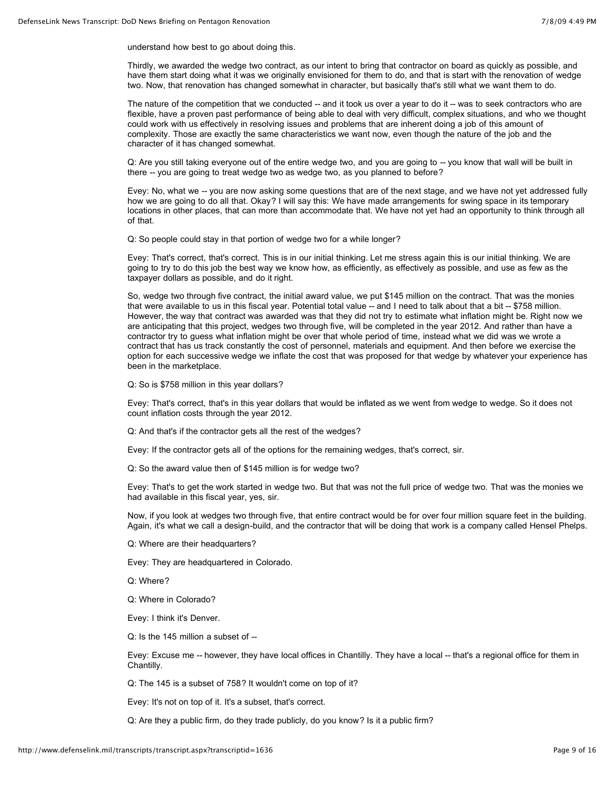understand how best to go about doing this.

Thirdly, we awarded the wedge two contract, as our intent to bring that contractor on board as quickly as possible, and have them start doing what it was we originally envisioned for them to do, and that is start with the renovation of wedge two. Now, that renovation has changed somewhat in character, but basically that's still what we want them to do.

The nature of the competition that we conducted -- and it took us over a year to do it -- was to seek contractors who are flexible, have a proven past performance of being able to deal with very difficult, complex situations, and who we thought could work with us effectively in resolving issues and problems that are inherent doing a job of this amount of complexity. Those are exactly the same characteristics we want now, even though the nature of the job and the character of it has changed somewhat.

Q: Are you still taking everyone out of the entire wedge two, and you are going to -- you know that wall will be built in there -- you are going to treat wedge two as wedge two, as you planned to before?

Evey: No, what we -- you are now asking some questions that are of the next stage, and we have not yet addressed fully how we are going to do all that. Okay? I will say this: We have made arrangements for swing space in its temporary locations in other places, that can more than accommodate that. We have not yet had an opportunity to think through all of that.

Q: So people could stay in that portion of wedge two for a while longer?

Evey: That's correct, that's correct. This is in our initial thinking. Let me stress again this is our initial thinking. We are going to try to do this job the best way we know how, as efficiently, as effectively as possible, and use as few as the taxpayer dollars as possible, and do it right.

So, wedge two through five contract, the initial award value, we put \$145 million on the contract. That was the monies that were available to us in this fiscal year. Potential total value -- and I need to talk about that a bit -- \$758 million. However, the way that contract was awarded was that they did not try to estimate what inflation might be. Right now we are anticipating that this project, wedges two through five, will be completed in the year 2012. And rather than have a contractor try to guess what inflation might be over that whole period of time, instead what we did was we wrote a contract that has us track constantly the cost of personnel, materials and equipment. And then before we exercise the option for each successive wedge we inflate the cost that was proposed for that wedge by whatever your experience has been in the marketplace.

Q: So is \$758 million in this year dollars?

Evey: That's correct, that's in this year dollars that would be inflated as we went from wedge to wedge. So it does not count inflation costs through the year 2012.

Q: And that's if the contractor gets all the rest of the wedges?

Evey: If the contractor gets all of the options for the remaining wedges, that's correct, sir.

Q: So the award value then of \$145 million is for wedge two?

Evey: That's to get the work started in wedge two. But that was not the full price of wedge two. That was the monies we had available in this fiscal year, yes, sir.

Now, if you look at wedges two through five, that entire contract would be for over four million square feet in the building. Again, it's what we call a design-build, and the contractor that will be doing that work is a company called Hensel Phelps.

Q: Where are their headquarters?

Evey: They are headquartered in Colorado.

Q: Where?

Q: Where in Colorado?

Evey: I think it's Denver.

Q: Is the 145 million a subset of --

Evey: Excuse me -- however, they have local offices in Chantilly. They have a local -- that's a regional office for them in Chantilly.

Q: The 145 is a subset of 758? It wouldn't come on top of it?

Evey: It's not on top of it. It's a subset, that's correct.

Q: Are they a public firm, do they trade publicly, do you know? Is it a public firm?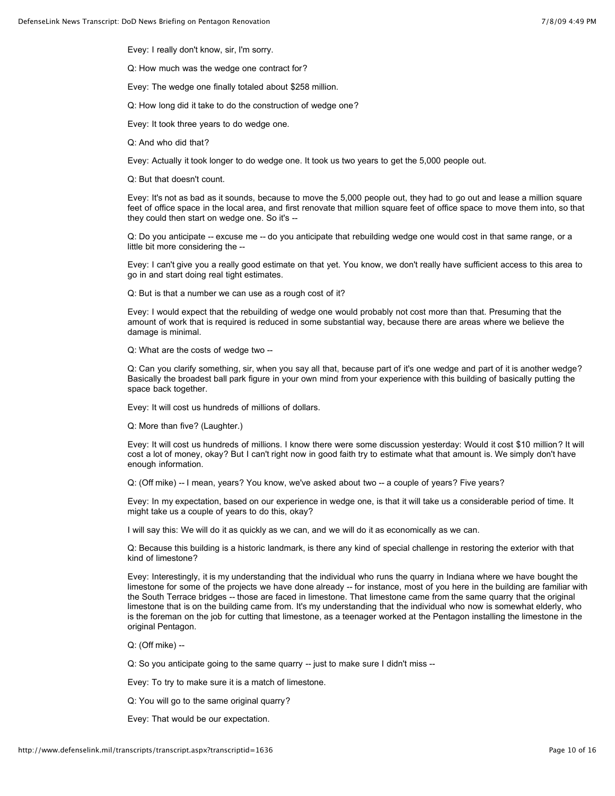Evey: I really don't know, sir, I'm sorry.

Q: How much was the wedge one contract for?

Evey: The wedge one finally totaled about \$258 million.

Q: How long did it take to do the construction of wedge one?

Evey: It took three years to do wedge one.

Q: And who did that?

Evey: Actually it took longer to do wedge one. It took us two years to get the 5,000 people out.

Q: But that doesn't count.

Evey: It's not as bad as it sounds, because to move the 5,000 people out, they had to go out and lease a million square feet of office space in the local area, and first renovate that million square feet of office space to move them into, so that they could then start on wedge one. So it's --

Q: Do you anticipate -- excuse me -- do you anticipate that rebuilding wedge one would cost in that same range, or a little bit more considering the --

Evey: I can't give you a really good estimate on that yet. You know, we don't really have sufficient access to this area to go in and start doing real tight estimates.

Q: But is that a number we can use as a rough cost of it?

Evey: I would expect that the rebuilding of wedge one would probably not cost more than that. Presuming that the amount of work that is required is reduced in some substantial way, because there are areas where we believe the damage is minimal.

Q: What are the costs of wedge two --

Q: Can you clarify something, sir, when you say all that, because part of it's one wedge and part of it is another wedge? Basically the broadest ball park figure in your own mind from your experience with this building of basically putting the space back together.

Evey: It will cost us hundreds of millions of dollars.

Q: More than five? (Laughter.)

Evey: It will cost us hundreds of millions. I know there were some discussion yesterday: Would it cost \$10 million? It will cost a lot of money, okay? But I can't right now in good faith try to estimate what that amount is. We simply don't have enough information.

Q: (Off mike) -- I mean, years? You know, we've asked about two -- a couple of years? Five years?

Evey: In my expectation, based on our experience in wedge one, is that it will take us a considerable period of time. It might take us a couple of years to do this, okay?

I will say this: We will do it as quickly as we can, and we will do it as economically as we can.

Q: Because this building is a historic landmark, is there any kind of special challenge in restoring the exterior with that kind of limestone?

Evey: Interestingly, it is my understanding that the individual who runs the quarry in Indiana where we have bought the limestone for some of the projects we have done already -- for instance, most of you here in the building are familiar with the South Terrace bridges -- those are faced in limestone. That limestone came from the same quarry that the original limestone that is on the building came from. It's my understanding that the individual who now is somewhat elderly, who is the foreman on the job for cutting that limestone, as a teenager worked at the Pentagon installing the limestone in the original Pentagon.

Q: (Off mike) --

Q: So you anticipate going to the same quarry -- just to make sure I didn't miss --

Evey: To try to make sure it is a match of limestone.

Q: You will go to the same original quarry?

Evey: That would be our expectation.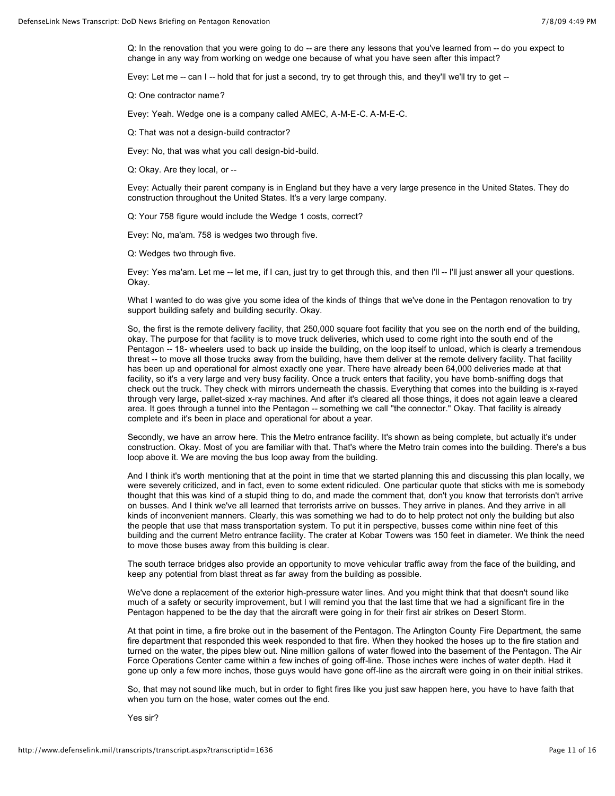Q: In the renovation that you were going to do -- are there any lessons that you've learned from -- do you expect to change in any way from working on wedge one because of what you have seen after this impact?

Evey: Let me -- can I -- hold that for just a second, try to get through this, and they'll we'll try to get --

Q: One contractor name?

Evey: Yeah. Wedge one is a company called AMEC, A-M-E-C. A-M-E-C.

Q: That was not a design-build contractor?

Evey: No, that was what you call design-bid-build.

Q: Okay. Are they local, or --

Evey: Actually their parent company is in England but they have a very large presence in the United States. They do construction throughout the United States. It's a very large company.

Q: Your 758 figure would include the Wedge 1 costs, correct?

Evey: No, ma'am. 758 is wedges two through five.

Q: Wedges two through five.

Evey: Yes ma'am. Let me -- let me, if I can, just try to get through this, and then I'll -- I'll just answer all your questions. Okay.

What I wanted to do was give you some idea of the kinds of things that we've done in the Pentagon renovation to try support building safety and building security. Okay.

So, the first is the remote delivery facility, that 250,000 square foot facility that you see on the north end of the building, okay. The purpose for that facility is to move truck deliveries, which used to come right into the south end of the Pentagon -- 18- wheelers used to back up inside the building, on the loop itself to unload, which is clearly a tremendous threat -- to move all those trucks away from the building, have them deliver at the remote delivery facility. That facility has been up and operational for almost exactly one year. There have already been 64,000 deliveries made at that facility, so it's a very large and very busy facility. Once a truck enters that facility, you have bomb-sniffing dogs that check out the truck. They check with mirrors underneath the chassis. Everything that comes into the building is x-rayed through very large, pallet-sized x-ray machines. And after it's cleared all those things, it does not again leave a cleared area. It goes through a tunnel into the Pentagon -- something we call "the connector." Okay. That facility is already complete and it's been in place and operational for about a year.

Secondly, we have an arrow here. This the Metro entrance facility. It's shown as being complete, but actually it's under construction. Okay. Most of you are familiar with that. That's where the Metro train comes into the building. There's a bus loop above it. We are moving the bus loop away from the building.

And I think it's worth mentioning that at the point in time that we started planning this and discussing this plan locally, we were severely criticized, and in fact, even to some extent ridiculed. One particular quote that sticks with me is somebody thought that this was kind of a stupid thing to do, and made the comment that, don't you know that terrorists don't arrive on busses. And I think we've all learned that terrorists arrive on busses. They arrive in planes. And they arrive in all kinds of inconvenient manners. Clearly, this was something we had to do to help protect not only the building but also the people that use that mass transportation system. To put it in perspective, busses come within nine feet of this building and the current Metro entrance facility. The crater at Kobar Towers was 150 feet in diameter. We think the need to move those buses away from this building is clear.

The south terrace bridges also provide an opportunity to move vehicular traffic away from the face of the building, and keep any potential from blast threat as far away from the building as possible.

We've done a replacement of the exterior high-pressure water lines. And you might think that that doesn't sound like much of a safety or security improvement, but I will remind you that the last time that we had a significant fire in the Pentagon happened to be the day that the aircraft were going in for their first air strikes on Desert Storm.

At that point in time, a fire broke out in the basement of the Pentagon. The Arlington County Fire Department, the same fire department that responded this week responded to that fire. When they hooked the hoses up to the fire station and turned on the water, the pipes blew out. Nine million gallons of water flowed into the basement of the Pentagon. The Air Force Operations Center came within a few inches of going off-line. Those inches were inches of water depth. Had it gone up only a few more inches, those guys would have gone off-line as the aircraft were going in on their initial strikes.

So, that may not sound like much, but in order to fight fires like you just saw happen here, you have to have faith that when you turn on the hose, water comes out the end.

Yes sir?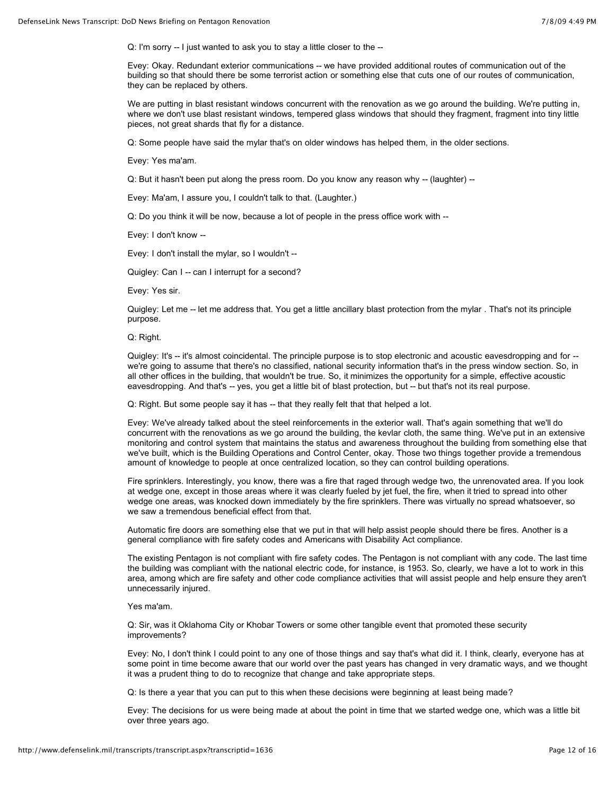Q: I'm sorry -- I just wanted to ask you to stay a little closer to the --

Evey: Okay. Redundant exterior communications -- we have provided additional routes of communication out of the building so that should there be some terrorist action or something else that cuts one of our routes of communication, they can be replaced by others.

We are putting in blast resistant windows concurrent with the renovation as we go around the building. We're putting in, where we don't use blast resistant windows, tempered glass windows that should they fragment, fragment into tiny little pieces, not great shards that fly for a distance.

Q: Some people have said the mylar that's on older windows has helped them, in the older sections.

Evey: Yes ma'am.

Q: But it hasn't been put along the press room. Do you know any reason why -- (laughter) --

Evey: Ma'am, I assure you, I couldn't talk to that. (Laughter.)

Q: Do you think it will be now, because a lot of people in the press office work with --

Evey: I don't know --

Evey: I don't install the mylar, so I wouldn't --

Quigley: Can I -- can I interrupt for a second?

Evey: Yes sir.

Quigley: Let me -- let me address that. You get a little ancillary blast protection from the mylar . That's not its principle purpose.

Q: Right.

Quigley: It's -- it's almost coincidental. The principle purpose is to stop electronic and acoustic eavesdropping and for -we're going to assume that there's no classified, national security information that's in the press window section. So, in all other offices in the building, that wouldn't be true. So, it minimizes the opportunity for a simple, effective acoustic eavesdropping. And that's -- yes, you get a little bit of blast protection, but -- but that's not its real purpose.

Q: Right. But some people say it has -- that they really felt that that helped a lot.

Evey: We've already talked about the steel reinforcements in the exterior wall. That's again something that we'll do concurrent with the renovations as we go around the building, the kevlar cloth, the same thing. We've put in an extensive monitoring and control system that maintains the status and awareness throughout the building from something else that we've built, which is the Building Operations and Control Center, okay. Those two things together provide a tremendous amount of knowledge to people at once centralized location, so they can control building operations.

Fire sprinklers. Interestingly, you know, there was a fire that raged through wedge two, the unrenovated area. If you look at wedge one, except in those areas where it was clearly fueled by jet fuel, the fire, when it tried to spread into other wedge one areas, was knocked down immediately by the fire sprinklers. There was virtually no spread whatsoever, so we saw a tremendous beneficial effect from that.

Automatic fire doors are something else that we put in that will help assist people should there be fires. Another is a general compliance with fire safety codes and Americans with Disability Act compliance.

The existing Pentagon is not compliant with fire safety codes. The Pentagon is not compliant with any code. The last time the building was compliant with the national electric code, for instance, is 1953. So, clearly, we have a lot to work in this area, among which are fire safety and other code compliance activities that will assist people and help ensure they aren't unnecessarily injured.

Yes ma'am.

Q: Sir, was it Oklahoma City or Khobar Towers or some other tangible event that promoted these security improvements?

Evey: No, I don't think I could point to any one of those things and say that's what did it. I think, clearly, everyone has at some point in time become aware that our world over the past years has changed in very dramatic ways, and we thought it was a prudent thing to do to recognize that change and take appropriate steps.

Q: Is there a year that you can put to this when these decisions were beginning at least being made?

Evey: The decisions for us were being made at about the point in time that we started wedge one, which was a little bit over three years ago.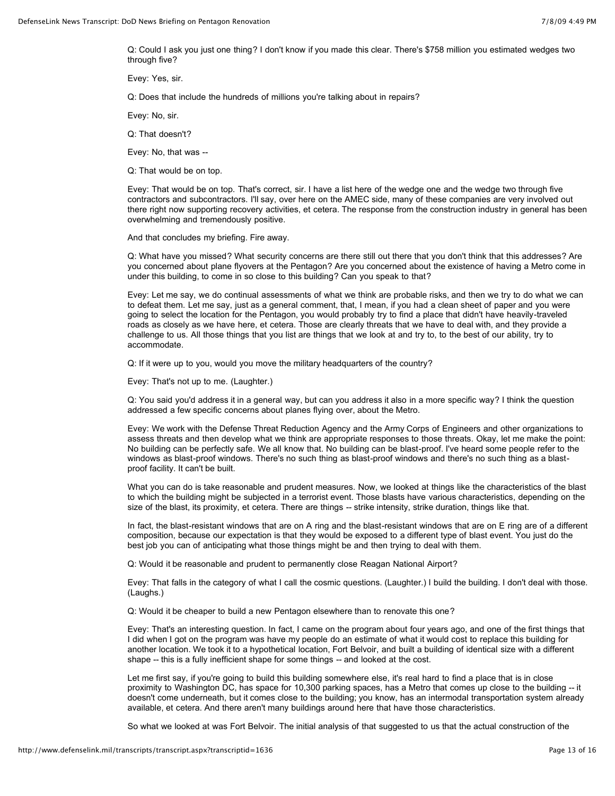Q: Could I ask you just one thing? I don't know if you made this clear. There's \$758 million you estimated wedges two through five?

Evey: Yes, sir.

Q: Does that include the hundreds of millions you're talking about in repairs?

Evey: No, sir.

Q: That doesn't?

Evey: No, that was --

Q: That would be on top.

Evey: That would be on top. That's correct, sir. I have a list here of the wedge one and the wedge two through five contractors and subcontractors. I'll say, over here on the AMEC side, many of these companies are very involved out there right now supporting recovery activities, et cetera. The response from the construction industry in general has been overwhelming and tremendously positive.

And that concludes my briefing. Fire away.

Q: What have you missed? What security concerns are there still out there that you don't think that this addresses? Are you concerned about plane flyovers at the Pentagon? Are you concerned about the existence of having a Metro come in under this building, to come in so close to this building? Can you speak to that?

Evey: Let me say, we do continual assessments of what we think are probable risks, and then we try to do what we can to defeat them. Let me say, just as a general comment, that, I mean, if you had a clean sheet of paper and you were going to select the location for the Pentagon, you would probably try to find a place that didn't have heavily-traveled roads as closely as we have here, et cetera. Those are clearly threats that we have to deal with, and they provide a challenge to us. All those things that you list are things that we look at and try to, to the best of our ability, try to accommodate.

Q: If it were up to you, would you move the military headquarters of the country?

Evey: That's not up to me. (Laughter.)

Q: You said you'd address it in a general way, but can you address it also in a more specific way? I think the question addressed a few specific concerns about planes flying over, about the Metro.

Evey: We work with the Defense Threat Reduction Agency and the Army Corps of Engineers and other organizations to assess threats and then develop what we think are appropriate responses to those threats. Okay, let me make the point: No building can be perfectly safe. We all know that. No building can be blast-proof. I've heard some people refer to the windows as blast-proof windows. There's no such thing as blast-proof windows and there's no such thing as a blastproof facility. It can't be built.

What you can do is take reasonable and prudent measures. Now, we looked at things like the characteristics of the blast to which the building might be subjected in a terrorist event. Those blasts have various characteristics, depending on the size of the blast, its proximity, et cetera. There are things -- strike intensity, strike duration, things like that.

In fact, the blast-resistant windows that are on A ring and the blast-resistant windows that are on E ring are of a different composition, because our expectation is that they would be exposed to a different type of blast event. You just do the best job you can of anticipating what those things might be and then trying to deal with them.

Q: Would it be reasonable and prudent to permanently close Reagan National Airport?

Evey: That falls in the category of what I call the cosmic questions. (Laughter.) I build the building. I don't deal with those. (Laughs.)

Q: Would it be cheaper to build a new Pentagon elsewhere than to renovate this one?

Evey: That's an interesting question. In fact, I came on the program about four years ago, and one of the first things that I did when I got on the program was have my people do an estimate of what it would cost to replace this building for another location. We took it to a hypothetical location, Fort Belvoir, and built a building of identical size with a different shape -- this is a fully inefficient shape for some things -- and looked at the cost.

Let me first say, if you're going to build this building somewhere else, it's real hard to find a place that is in close proximity to Washington DC, has space for 10,300 parking spaces, has a Metro that comes up close to the building -- it doesn't come underneath, but it comes close to the building; you know, has an intermodal transportation system already available, et cetera. And there aren't many buildings around here that have those characteristics.

So what we looked at was Fort Belvoir. The initial analysis of that suggested to us that the actual construction of the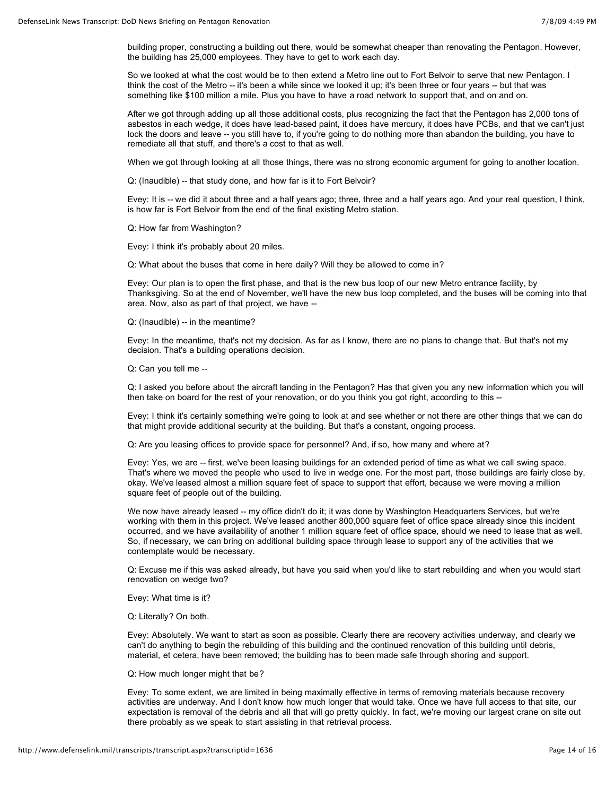building proper, constructing a building out there, would be somewhat cheaper than renovating the Pentagon. However, the building has 25,000 employees. They have to get to work each day.

So we looked at what the cost would be to then extend a Metro line out to Fort Belvoir to serve that new Pentagon. I think the cost of the Metro -- it's been a while since we looked it up; it's been three or four years -- but that was something like \$100 million a mile. Plus you have to have a road network to support that, and on and on.

After we got through adding up all those additional costs, plus recognizing the fact that the Pentagon has 2,000 tons of asbestos in each wedge, it does have lead-based paint, it does have mercury, it does have PCBs, and that we can't just lock the doors and leave -- you still have to, if you're going to do nothing more than abandon the building, you have to remediate all that stuff, and there's a cost to that as well.

When we got through looking at all those things, there was no strong economic argument for going to another location.

Q: (Inaudible) -- that study done, and how far is it to Fort Belvoir?

Evey: It is -- we did it about three and a half years ago; three, three and a half years ago. And your real question, I think, is how far is Fort Belvoir from the end of the final existing Metro station.

Q: How far from Washington?

Evey: I think it's probably about 20 miles.

Q: What about the buses that come in here daily? Will they be allowed to come in?

Evey: Our plan is to open the first phase, and that is the new bus loop of our new Metro entrance facility, by Thanksgiving. So at the end of November, we'll have the new bus loop completed, and the buses will be coming into that area. Now, also as part of that project, we have --

Q: (Inaudible) -- in the meantime?

Evey: In the meantime, that's not my decision. As far as I know, there are no plans to change that. But that's not my decision. That's a building operations decision.

Q: Can you tell me --

Q: I asked you before about the aircraft landing in the Pentagon? Has that given you any new information which you will then take on board for the rest of your renovation, or do you think you got right, according to this --

Evey: I think it's certainly something we're going to look at and see whether or not there are other things that we can do that might provide additional security at the building. But that's a constant, ongoing process.

Q: Are you leasing offices to provide space for personnel? And, if so, how many and where at?

Evey: Yes, we are -- first, we've been leasing buildings for an extended period of time as what we call swing space. That's where we moved the people who used to live in wedge one. For the most part, those buildings are fairly close by, okay. We've leased almost a million square feet of space to support that effort, because we were moving a million square feet of people out of the building.

We now have already leased -- my office didn't do it; it was done by Washington Headquarters Services, but we're working with them in this project. We've leased another 800,000 square feet of office space already since this incident occurred, and we have availability of another 1 million square feet of office space, should we need to lease that as well. So, if necessary, we can bring on additional building space through lease to support any of the activities that we contemplate would be necessary.

Q: Excuse me if this was asked already, but have you said when you'd like to start rebuilding and when you would start renovation on wedge two?

Evey: What time is it?

Q: Literally? On both.

Evey: Absolutely. We want to start as soon as possible. Clearly there are recovery activities underway, and clearly we can't do anything to begin the rebuilding of this building and the continued renovation of this building until debris, material, et cetera, have been removed; the building has to been made safe through shoring and support.

Q: How much longer might that be?

Evey: To some extent, we are limited in being maximally effective in terms of removing materials because recovery activities are underway. And I don't know how much longer that would take. Once we have full access to that site, our expectation is removal of the debris and all that will go pretty quickly. In fact, we're moving our largest crane on site out there probably as we speak to start assisting in that retrieval process.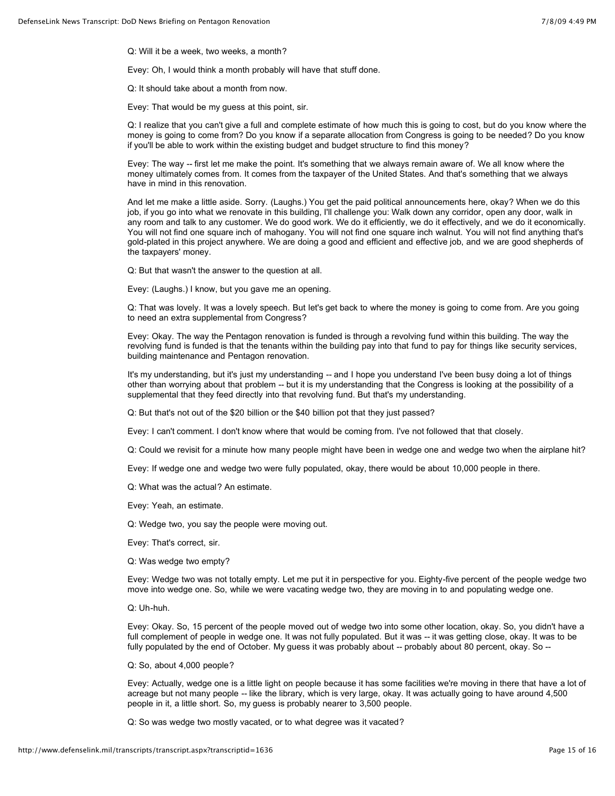Q: Will it be a week, two weeks, a month?

Evey: Oh, I would think a month probably will have that stuff done.

Q: It should take about a month from now.

Evey: That would be my guess at this point, sir.

Q: I realize that you can't give a full and complete estimate of how much this is going to cost, but do you know where the money is going to come from? Do you know if a separate allocation from Congress is going to be needed? Do you know if you'll be able to work within the existing budget and budget structure to find this money?

Evey: The way -- first let me make the point. It's something that we always remain aware of. We all know where the money ultimately comes from. It comes from the taxpayer of the United States. And that's something that we always have in mind in this renovation.

And let me make a little aside. Sorry. (Laughs.) You get the paid political announcements here, okay? When we do this job, if you go into what we renovate in this building, I'll challenge you: Walk down any corridor, open any door, walk in any room and talk to any customer. We do good work. We do it efficiently, we do it effectively, and we do it economically. You will not find one square inch of mahogany. You will not find one square inch walnut. You will not find anything that's gold-plated in this project anywhere. We are doing a good and efficient and effective job, and we are good shepherds of the taxpayers' money.

Q: But that wasn't the answer to the question at all.

Evey: (Laughs.) I know, but you gave me an opening.

Q: That was lovely. It was a lovely speech. But let's get back to where the money is going to come from. Are you going to need an extra supplemental from Congress?

Evey: Okay. The way the Pentagon renovation is funded is through a revolving fund within this building. The way the revolving fund is funded is that the tenants within the building pay into that fund to pay for things like security services, building maintenance and Pentagon renovation.

It's my understanding, but it's just my understanding -- and I hope you understand I've been busy doing a lot of things other than worrying about that problem -- but it is my understanding that the Congress is looking at the possibility of a supplemental that they feed directly into that revolving fund. But that's my understanding.

Q: But that's not out of the \$20 billion or the \$40 billion pot that they just passed?

Evey: I can't comment. I don't know where that would be coming from. I've not followed that that closely.

Q: Could we revisit for a minute how many people might have been in wedge one and wedge two when the airplane hit?

Evey: If wedge one and wedge two were fully populated, okay, there would be about 10,000 people in there.

Q: What was the actual? An estimate.

Evey: Yeah, an estimate.

Q: Wedge two, you say the people were moving out.

Evey: That's correct, sir.

Q: Was wedge two empty?

Evey: Wedge two was not totally empty. Let me put it in perspective for you. Eighty-five percent of the people wedge two move into wedge one. So, while we were vacating wedge two, they are moving in to and populating wedge one.

Q: Uh-huh.

Evey: Okay. So, 15 percent of the people moved out of wedge two into some other location, okay. So, you didn't have a full complement of people in wedge one. It was not fully populated. But it was -- it was getting close, okay. It was to be fully populated by the end of October. My guess it was probably about -- probably about 80 percent, okay. So --

Q: So, about 4,000 people?

Evey: Actually, wedge one is a little light on people because it has some facilities we're moving in there that have a lot of acreage but not many people -- like the library, which is very large, okay. It was actually going to have around 4,500 people in it, a little short. So, my guess is probably nearer to 3,500 people.

Q: So was wedge two mostly vacated, or to what degree was it vacated?